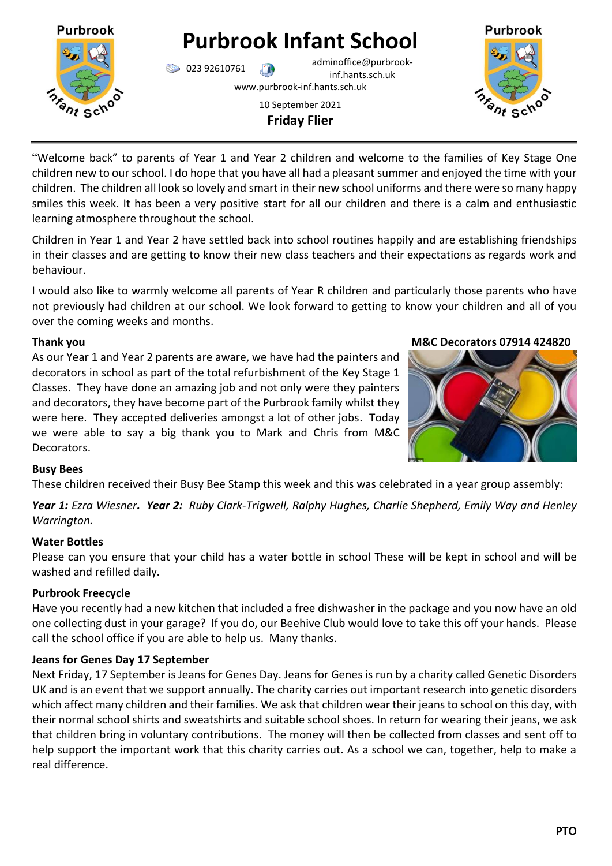

# **Purbrook Infant School**

023 92610761 adminoffice@purbrookinf.hants.sch.uk

www.purbrook-inf.hants.sch.uk

# 10 September 2021 **Friday Flier**



"Welcome back" to parents of Year 1 and Year 2 children and welcome to the families of Key Stage One children new to our school. I do hope that you have all had a pleasant summer and enjoyed the time with your children. The children all look so lovely and smart in their new school uniforms and there were so many happy smiles this week. It has been a very positive start for all our children and there is a calm and enthusiastic learning atmosphere throughout the school.

Children in Year 1 and Year 2 have settled back into school routines happily and are establishing friendships in their classes and are getting to know their new class teachers and their expectations as regards work and behaviour.

I would also like to warmly welcome all parents of Year R children and particularly those parents who have not previously had children at our school. We look forward to getting to know your children and all of you over the coming weeks and months.

As our Year 1 and Year 2 parents are aware, we have had the painters and decorators in school as part of the total refurbishment of the Key Stage 1 Classes. They have done an amazing job and not only were they painters and decorators, they have become part of the Purbrook family whilst they were here. They accepted deliveries amongst a lot of other jobs. Today we were able to say a big thank you to Mark and Chris from M&C Decorators.

#### **Thank you are seen to the contract of the COSE of the M&C Decorators 07914 424820**



# **Busy Bees**

These children received their Busy Bee Stamp this week and this was celebrated in a year group assembly:

*Year 1: Ezra Wiesner. Year 2: Ruby Clark-Trigwell, Ralphy Hughes, Charlie Shepherd, Emily Way and Henley Warrington.*

# **Water Bottles**

Please can you ensure that your child has a water bottle in school These will be kept in school and will be washed and refilled daily.

# **Purbrook Freecycle**

Have you recently had a new kitchen that included a free dishwasher in the package and you now have an old one collecting dust in your garage? If you do, our Beehive Club would love to take this off your hands. Please call the school office if you are able to help us. Many thanks.

# **Jeans for Genes Day 17 September**

Next Friday, 17 September is Jeans for Genes Day. Jeans for Genes is run by a charity called Genetic Disorders UK and is an event that we support annually. The charity carries out important research into genetic disorders which affect many children and their families. We ask that children wear their jeans to school on this day, with their normal school shirts and sweatshirts and suitable school shoes. In return for wearing their jeans, we ask that children bring in voluntary contributions. The money will then be collected from classes and sent off to help support the important work that this charity carries out. As a school we can, together, help to make a real difference.